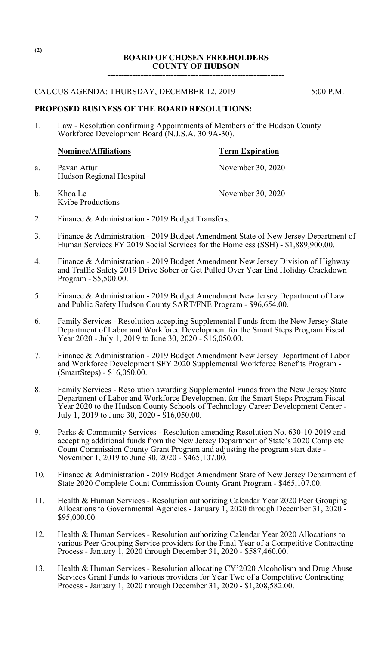## **BOARD OF CHOSEN FREEHOLDERS COUNTY OF HUDSON**

**----------------------------------------------------------------**

## CAUCUS AGENDA: THURSDAY, DECEMBER 12, 2019 5:00 P.M.

**PROPOSED BUSINESS OF THE BOARD RESOLUTIONS:**

1. Law - Resolution confirming Appointments of Members of the Hudson County Workforce Development Board (N.J.S.A. 30:9A-30).

# **Nominee/Affiliations Term Expiration**

- 
- a. Pavan Attur November 30, 2020 Hudson Regional Hospital
- b. Khoa Le November 30, 2020 Kvibe Productions
- 2. Finance & Administration 2019 Budget Transfers.
- 3. Finance & Administration 2019 Budget Amendment State of New Jersey Department of Human Services FY 2019 Social Services for the Homeless (SSH) - \$1,889,900.00.
- 4. Finance & Administration 2019 Budget Amendment New Jersey Division of Highway and Traffic Safety 2019 Drive Sober or Get Pulled Over Year End Holiday Crackdown Program - \$5,500.00.
- 5. Finance & Administration 2019 Budget Amendment New Jersey Department of Law and Public Safety Hudson County SART/FNE Program - \$96,654.00.
- 6. Family Services Resolution accepting Supplemental Funds from the New Jersey State Department of Labor and Workforce Development for the Smart Steps Program Fiscal Year 2020 - July 1, 2019 to June 30, 2020 - \$16,050.00.
- 7. Finance & Administration 2019 Budget Amendment New Jersey Department of Labor and Workforce Development SFY 2020 Supplemental Workforce Benefits Program - (SmartSteps) - \$16,050.00.
- 8. Family Services Resolution awarding Supplemental Funds from the New Jersey State Department of Labor and Workforce Development for the Smart Steps Program Fiscal Year 2020 to the Hudson County Schools of Technology Career Development Center - July 1, 2019 to June 30, 2020 - \$16,050.00.
- 9. Parks & Community Services Resolution amending Resolution No. 630-10-2019 and accepting additional funds from the New Jersey Department of State's 2020 Complete Count Commission County Grant Program and adjusting the program start date - November 1, 2019 to June 30, 2020 - \$465,107.00.
- 10. Finance & Administration 2019 Budget Amendment State of New Jersey Department of State 2020 Complete Count Commission County Grant Program - \$465,107.00.
- 11. Health & Human Services Resolution authorizing Calendar Year 2020 Peer Grouping Allocations to Governmental Agencies - January 1, 2020 through December 31,  $20\overline{20}$  -\$95,000.00.
- 12. Health & Human Services Resolution authorizing Calendar Year 2020 Allocations to various Peer Grouping Service providers for the Final Year of a Competitive Contracting Process - January 1, 2020 through December 31, 2020 - \$587,460.00.
- 13. Health & Human Services Resolution allocating CY'2020 Alcoholism and Drug Abuse Services Grant Funds to various providers for Year Two of a Competitive Contracting Process - January 1, 2020 through December 31, 2020 - \$1,208,582.00.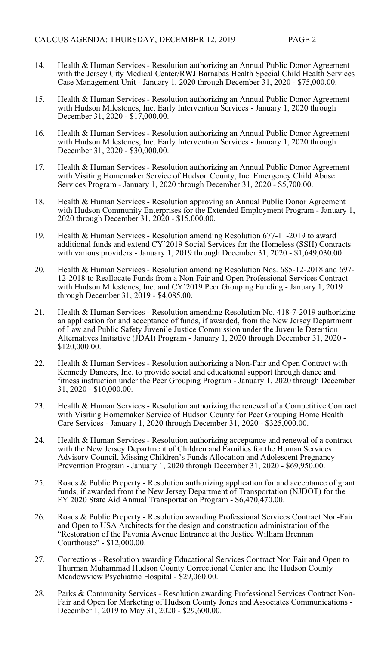- 14. Health & Human Services Resolution authorizing an Annual Public Donor Agreement with the Jersey City Medical Center/RWJ Barnabas Health Special Child Health Services Case Management Unit - January 1, 2020 through December 31, 2020 - \$75,000.00.
- 15. Health & Human Services Resolution authorizing an Annual Public Donor Agreement with Hudson Milestones, Inc. Early Intervention Services - January 1, 2020 through December 31, 2020 - \$17,000.00.
- 16. Health & Human Services Resolution authorizing an Annual Public Donor Agreement with Hudson Milestones, Inc. Early Intervention Services - January 1, 2020 through December 31, 2020 - \$30,000.00.
- 17. Health & Human Services Resolution authorizing an Annual Public Donor Agreement with Visiting Homemaker Service of Hudson County, Inc. Emergency Child Abuse Services Program - January 1, 2020 through December 31, 2020 - \$5,700.00.
- 18. Health & Human Services Resolution approving an Annual Public Donor Agreement with Hudson Community Enterprises for the Extended Employment Program - January 1, 2020 through December 31, 2020 - \$15,000.00.
- 19. Health & Human Services Resolution amending Resolution 677-11-2019 to award additional funds and extend CY'2019 Social Services for the Homeless (SSH) Contracts with various providers - January 1, 2019 through December 31, 2020 - \$1,649,030.00.
- 20. Health & Human Services Resolution amending Resolution Nos. 685-12-2018 and 697- 12-2018 to Reallocate Funds from a Non-Fair and Open Professional Services Contract with Hudson Milestones, Inc. and CY'2019 Peer Grouping Funding - January 1, 2019 through December 31, 2019 - \$4,085.00.
- 21. Health & Human Services Resolution amending Resolution No. 418-7-2019 authorizing an application for and acceptance of funds, if awarded, from the New Jersey Department of Law and Public Safety Juvenile Justice Commission under the Juvenile Detention Alternatives Initiative (JDAI) Program - January 1, 2020 through December 31, 2020 - \$120,000.00.
- 22. Health & Human Services Resolution authorizing a Non-Fair and Open Contract with Kennedy Dancers, Inc. to provide social and educational support through dance and fitness instruction under the Peer Grouping Program - January 1, 2020 through December 31, 2020 - \$10,000.00.
- 23. Health & Human Services Resolution authorizing the renewal of a Competitive Contract with Visiting Homemaker Service of Hudson County for Peer Grouping Home Health Care Services - January 1, 2020 through December 31, 2020 - \$325,000.00.
- 24. Health & Human Services Resolution authorizing acceptance and renewal of a contract with the New Jersey Department of Children and Families for the Human Services Advisory Council, Missing Children's Funds Allocation and Adolescent Pregnancy Prevention Program - January 1, 2020 through December 31, 2020 - \$69,950.00.
- 25. Roads & Public Property Resolution authorizing application for and acceptance of grant funds, if awarded from the New Jersey Department of Transportation (NJDOT) for the FY 2020 State Aid Annual Transportation Program - \$6,470,470.00.
- 26. Roads & Public Property Resolution awarding Professional Services Contract Non-Fair and Open to USA Architects for the design and construction administration of the "Restoration of the Pavonia Avenue Entrance at the Justice William Brennan Courthouse" - \$12,000.00.
- 27. Corrections Resolution awarding Educational Services Contract Non Fair and Open to Thurman Muhammad Hudson County Correctional Center and the Hudson County Meadowview Psychiatric Hospital - \$29,060.00.
- 28. Parks & Community Services Resolution awarding Professional Services Contract Non-Fair and Open for Marketing of Hudson County Jones and Associates Communications - December 1, 2019 to May 31, 2020 - \$29,600.00.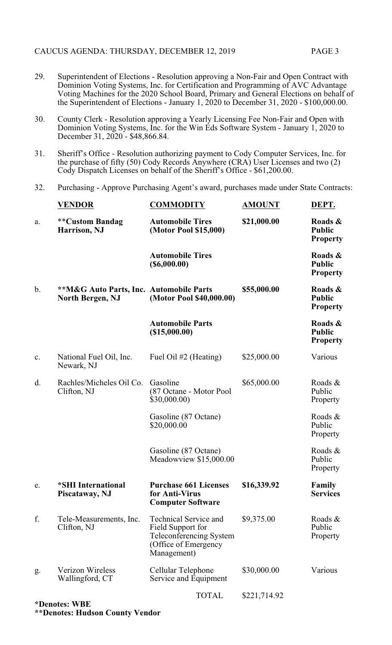- 29. Superintendent of Elections Resolution approving a Non-Fair and Open Contract with Dominion Voting Systems, Inc. for Certification and Programming of AVC Advantage Voting Machines for the 2020 School Board, Primary and General Elections on behalf of the Superintendent of Elections - January 1, 2020 to December 31, 2020 - \$100,000.00.
- 30. County Clerk Resolution approving a Yearly Licensing Fee Non-Fair and Open with Dominion Voting Systems, Inc. for the Win Eds Software System - January 1, 2020 to December 31, 2020 - \$48,866.84.
- 31. Sheriff's Office Resolution authorizing payment to Cody Computer Services, Inc. for the purchase of fifty (50) Cody Records Anywhere (CRA) User Licenses and two (2) Cody Dispatch Licenses on behalf of the Sheriff's Office - \$61,200.00.
- 32. Purchasing Approve Purchasing Agent's award, purchases made under State Contracts:

|    | VENDOR                                                                        | <b>COMMODITY</b>                                                                                                    | <b>AMOUNT</b> | DEPT.                                       |
|----|-------------------------------------------------------------------------------|---------------------------------------------------------------------------------------------------------------------|---------------|---------------------------------------------|
| a. | <b>**Custom Bandag</b><br>Harrison, NJ                                        | <b>Automobile Tires</b><br>(Motor Pool \$15,000)                                                                    | \$21,000.00   | Roads &<br><b>Public</b><br><b>Property</b> |
|    |                                                                               | <b>Automobile Tires</b><br>$($ \$6,000.00)                                                                          |               | Roads &<br><b>Public</b><br><b>Property</b> |
| b. | <b>**M&amp;G Auto Parts, Inc. Automobile Parts</b><br><b>North Bergen, NJ</b> | (Motor Pool \$40,000.00)                                                                                            | \$55,000.00   | Roads &<br><b>Public</b><br><b>Property</b> |
|    |                                                                               | <b>Automobile Parts</b><br>(\$15,000.00)                                                                            |               | Roads &<br><b>Public</b><br><b>Property</b> |
| c. | National Fuel Oil, Inc.<br>Newark, NJ                                         | Fuel Oil #2 (Heating)                                                                                               | \$25,000.00   | Various                                     |
| d. | Rachles/Micheles Oil Co.<br>Clifton, NJ                                       | Gasoline<br>(87 Octane - Motor Pool<br>\$30,000.00)                                                                 | \$65,000.00   | Roads &<br>Public<br>Property               |
|    |                                                                               | Gasoline (87 Octane)<br>\$20,000.00                                                                                 |               | Roads &<br>Public<br>Property               |
|    |                                                                               | Gasoline (87 Octane)<br>Meadowview \$15,000.00                                                                      |               | Roads &<br>Public<br>Property               |
| e. | <i><b>*SHI</b></i> International<br>Piscataway, NJ                            | <b>Purchase 661 Licenses</b><br>for Anti-Virus<br><b>Computer Software</b>                                          | \$16,339.92   | Family<br><b>Services</b>                   |
| f. | Tele-Measurements, Inc.<br>Clifton, NJ                                        | <b>Technical Service and</b><br>Field Support for<br>Teleconferencing System<br>(Office of Emergency<br>Management) | \$9,375.00    | Roads &<br>Public<br>Property               |
| g. | Verizon Wireless<br>Wallingford, CT                                           | Cellular Telephone<br>Service and Equipment                                                                         | \$30,000.00   | Various                                     |
|    | *Denotes: WBE                                                                 | <b>TOTAL</b>                                                                                                        | \$221,714.92  |                                             |

**\*\*Denotes: Hudson County Vendor**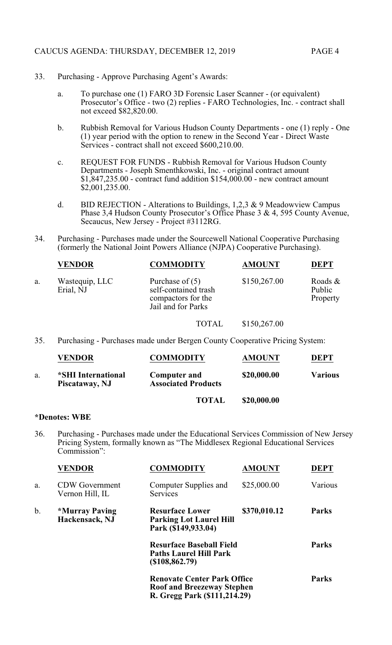- 33. Purchasing Approve Purchasing Agent's Awards:
	- a. To purchase one (1) FARO 3D Forensic Laser Scanner (or equivalent) Prosecutor's Office - two (2) replies - FARO Technologies, Inc. - contract shall not exceed \$82,820.00.
	- b. Rubbish Removal for Various Hudson County Departments one (1) reply One (1) year period with the option to renew in the Second Year - Direct Waste Services - contract shall not exceed \$600,210.00.
	- c. REQUEST FOR FUNDS Rubbish Removal for Various Hudson County Departments - Joseph Smenthkowski, Inc. - original contract amount \$1,847,235.00 - contract fund addition \$154,000.00 - new contract amount \$2,001,235.00.
	- d. BID REJECTION Alterations to Buildings,  $1,2,3 \& 9$  Meadowview Campus Phase 3,4 Hudson County Prosecutor's Office Phase 3 & 4, 595 County Avenue, Secaucus, New Jersey - Project #3112RG.
- 34. Purchasing Purchases made under the Sourcewell National Cooperative Purchasing (formerly the National Joint Powers Alliance (NJPA) Cooperative Purchasing).

|    | <b>VENDOR</b>               | <b>COMMODITY</b>                                                                      | <b>AMOUNT</b> | <b>DEPT</b>                      |
|----|-----------------------------|---------------------------------------------------------------------------------------|---------------|----------------------------------|
| a. | Wastequip, LLC<br>Erial, NJ | Purchase of $(5)$<br>self-contained trash<br>compactors for the<br>Jail and for Parks | \$150,267.00  | Roads $\&$<br>Public<br>Property |
|    |                             |                                                                                       |               |                                  |

TOTAL \$150,267.00

35. Purchasing - Purchases made under Bergen County Cooperative Pricing System:

|    | <b>VENDOR</b>                        | <b>COMMODITY</b>                                  | <b>AMOUNT</b> | <b>DEPT</b>    |
|----|--------------------------------------|---------------------------------------------------|---------------|----------------|
| a. | *SHI International<br>Piscataway, NJ | <b>Computer and</b><br><b>Associated Products</b> | \$20,000.00   | <b>Various</b> |
|    |                                      | <b>TOTAL</b>                                      | \$20,000.00   |                |

## **\*Denotes: WBE**

36. Purchasing - Purchases made under the Educational Services Commission of New Jersey Pricing System, formally known as "The Middlesex Regional Educational Services Commission":

|    | VENDOR                                         | COMMODITY                                                                                               | <b>AMOUNT</b> | <b>DEPT</b>  |
|----|------------------------------------------------|---------------------------------------------------------------------------------------------------------|---------------|--------------|
| a. | <b>CDW</b> Government<br>Vernon Hill, IL       | Computer Supplies and<br>Services                                                                       | \$25,000.00   | Various      |
| b. | <i><b>*Murray Paving</b></i><br>Hackensack, NJ | <b>Resurface Lower</b><br><b>Parking Lot Laurel Hill</b><br>Park (\$149,933.04)                         | \$370,010.12  | <b>Parks</b> |
|    |                                                | <b>Resurface Baseball Field</b><br><b>Paths Laurel Hill Park</b><br>$($ \$108,862.79)                   |               | <b>Parks</b> |
|    |                                                | <b>Renovate Center Park Office</b><br><b>Roof and Breezeway Stephen</b><br>R. Gregg Park (\$111,214.29) |               | <b>Parks</b> |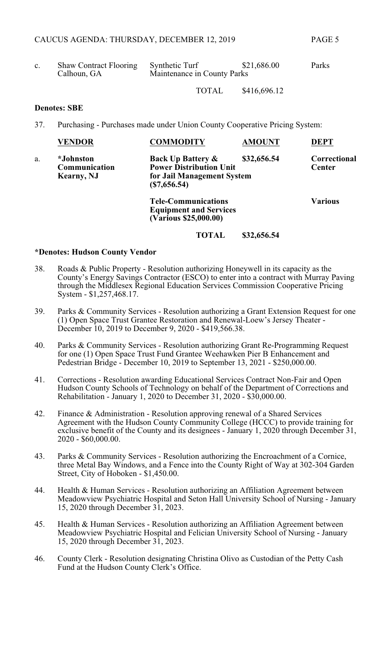| <b>Shaw Contract Flooring</b> | <b>Synthetic Turf</b>       | \$21,686.00 | Parks |
|-------------------------------|-----------------------------|-------------|-------|
| Calhoun, GA                   | Maintenance in County Parks |             |       |

TOTAL \$416,696.12

#### **Denotes: SBE**

37. Purchasing - Purchases made under Union County Cooperative Pricing System:

|    | <b>VENDOR</b>                                   | <b>COMMODITY</b>                                                                                            | <b>AMOUNT</b> | <b>DEPT</b>                   |
|----|-------------------------------------------------|-------------------------------------------------------------------------------------------------------------|---------------|-------------------------------|
| a. | <i>*Johnston</i><br>Communication<br>Kearny, NJ | <b>Back Up Battery &amp;</b><br><b>Power Distribution Unit</b><br>for Jail Management System<br>(S7,656.54) | \$32,656.54   | Correctional<br><b>Center</b> |
|    |                                                 | <b>Tele-Communications</b><br><b>Equipment and Services</b><br>(Various \$25,000.00)                        |               | <b>Various</b>                |

## **TOTAL \$32,656.54**

#### **\*Denotes: Hudson County Vendor**

- 38. Roads & Public Property Resolution authorizing Honeywell in its capacity as the County's Energy Savings Contractor (ESCO) to enter into a contract with Murray Paving through the Middlesex Regional Education Services Commission Cooperative Pricing System - \$1,257,468.17.
- 39. Parks & Community Services Resolution authorizing a Grant Extension Request for one (1) Open Space Trust Grantee Restoration and Renewal-Loew's Jersey Theater - December 10, 2019 to December 9, 2020 - \$419,566.38.
- 40. Parks & Community Services Resolution authorizing Grant Re-Programming Request for one (1) Open Space Trust Fund Grantee Weehawken Pier B Enhancement and Pedestrian Bridge - December 10, 2019 to September 13, 2021 - \$250,000.00.
- 41. Corrections Resolution awarding Educational Services Contract Non-Fair and Open Hudson County Schools of Technology on behalf of the Department of Corrections and Rehabilitation - January 1, 2020 to December 31, 2020 - \$30,000.00.
- 42. Finance & Administration Resolution approving renewal of a Shared Services Agreement with the Hudson County Community College (HCCC) to provide training for exclusive benefit of the County and its designees - January 1, 2020 through December 31, 2020 - \$60,000.00.
- 43. Parks & Community Services Resolution authorizing the Encroachment of a Cornice, three Metal Bay Windows, and a Fence into the County Right of Way at 302-304 Garden Street, City of Hoboken - \$1,450.00.
- 44. Health & Human Services Resolution authorizing an Affiliation Agreement between Meadowview Psychiatric Hospital and Seton Hall University School of Nursing - January 15, 2020 through December 31, 2023.
- 45. Health & Human Services Resolution authorizing an Affiliation Agreement between Meadowview Psychiatric Hospital and Felician University School of Nursing - January 15, 2020 through December 31, 2023.
- 46. County Clerk Resolution designating Christina Olivo as Custodian of the Petty Cash Fund at the Hudson County Clerk's Office.